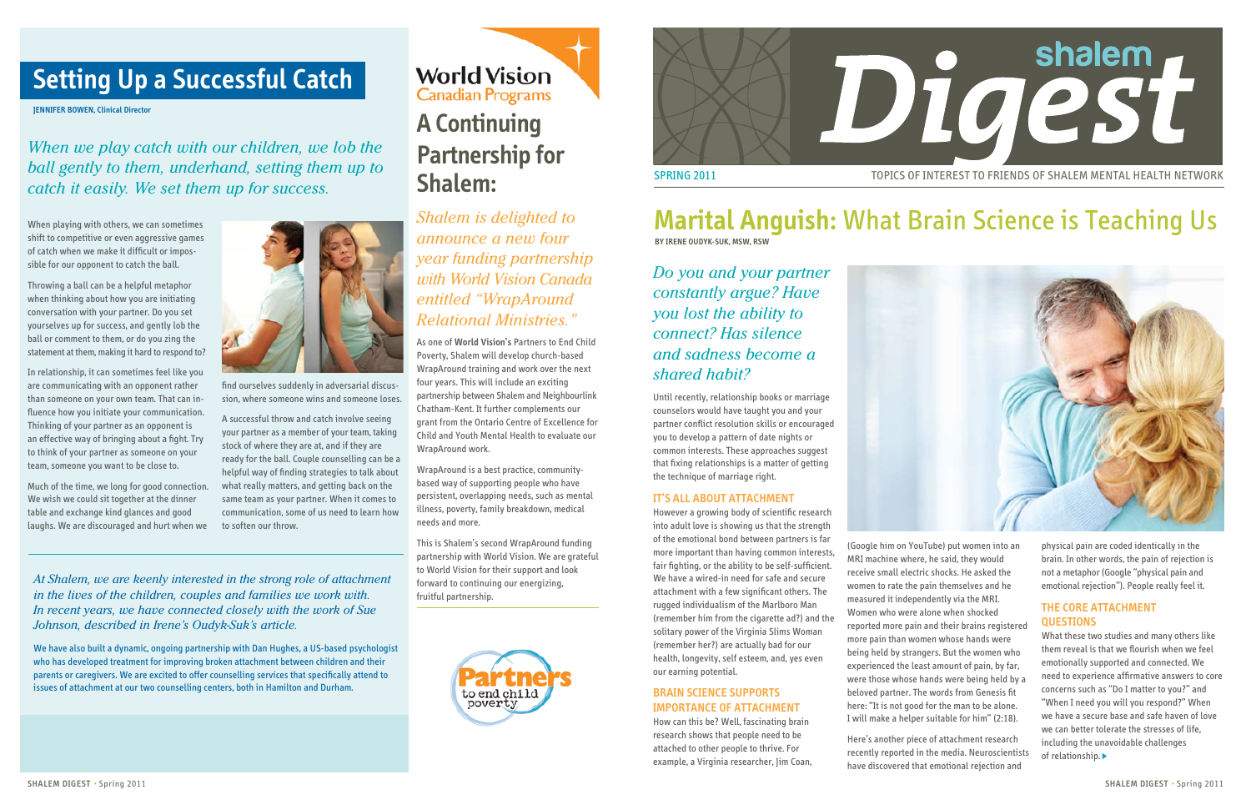

# **Marital Anguish:** What Brain Science is Teaching Us

**BY IRENE OUDYK-SUK, MSW, RSW**

*Do you and your partner constantly argue? Have you lost the ability to connect? Has silence and sadness become a shared habit?* 

Until recently, relationship books or marriage counselors would have taught you and your partner conflict resolution skills or encouraged you to develop a pattern of date nights or common interests. These approaches suggest that fixing relationships is a matter of getting the technique of marriage right.

### **It's all about attachment**

However a growing body of scientific research into adult love is showing us that the strength of the emotional bond between partners is far more important than having common interests, fair fighting, or the ability to be self-sufficient. We have a wired-in need for safe and secure attachment with a few significant others. The rugged individualism of the Marlboro Man (remember him from the cigarette ad?) and the solitary power of the Virginia Slims Woman (remember her?) are actually bad for our health, longevity, self esteem, and, yes even our earning potential.

## **Brain Science Supports Importance of Attachment**

How can this be? Well, fascinating brain research shows that people need to be attached to other people to thrive. For example, a Virginia researcher, Jim Coan,



(Google him on YouTube) put women into an MRI machine where, he said, they would receive small electric shocks. He asked the women to rate the pain themselves and he measured it independently via the MRI. Women who were alone when shocked reported more pain and their brains registered more pain than women whose hands were being held by strangers. But the women who experienced the least amount of pain, by far, were those whose hands were being held by a beloved partner. The words from Genesis fit here: "It is not good for the man to be alone. I will make a helper suitable for him" (2:18).

Here's another piece of attachment research recently reported in the media. Neuroscientists have discovered that emotional rejection and

physical pain are coded identically in the brain. In other words, the pain of rejection is not a metaphor (Google "physical pain and emotional rejection"). People really feel it.

### **The core attachment questions**

What these two studies and many others like them reveal is that we flourish when we feel emotionally supported and connected. We need to experience affirmative answers to core concerns such as "Do I matter to you?" and "When I need you will you respond?" When we have a secure base and safe haven of love we can better tolerate the stresses of life, including the unavoidable challenges of relationship.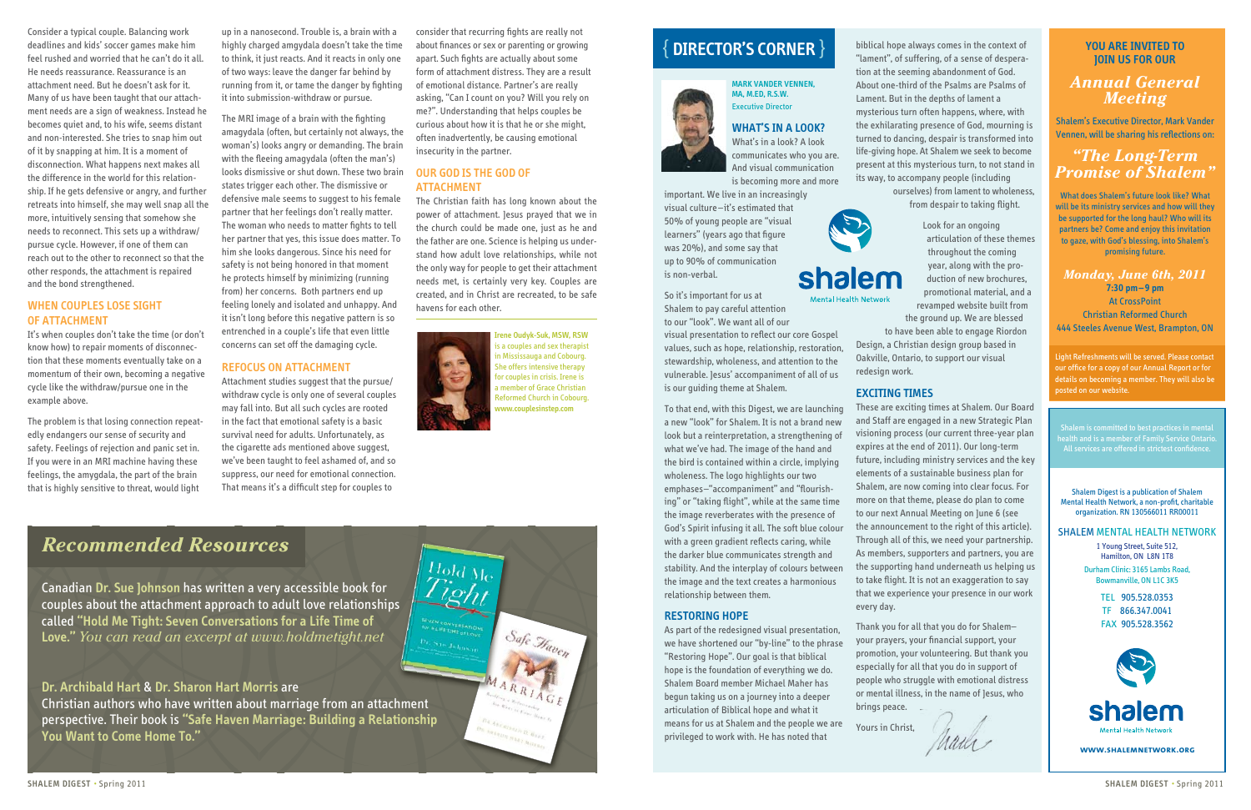consider that recurring fights are really not about finances or sex or parenting or growing apart. Such fights are actually about some form of attachment distress. They are a result of emotional distance. Partner's are really asking, "Can I count on you? Will you rely on me?". Understanding that helps couples be curious about how it is that he or she might, often inadvertently, be causing emotional insecurity in the partner.

### **Our God is the God of attachment**

Hold Me<br>Tight

The Christian faith has long known about the power of attachment. Jesus prayed that we in the church could be made one, just as he and the father are one. Science is helping us understand how adult love relationships, while not the only way for people to get their attachment needs met, is certainly very key. Couples are created, and in Christ are recreated, to be safe havens for each other.

> **Irene Oudyk-Suk, MSW, RSW** is a couples and sex therapist **i** Mississauga and Cobourg. he offers intensive therapy r couples in crisis. Irene is member of Grace Christian Reformed Church in Cobourg. **www.couplesinstep.com**

Safe Haven

**SHARDWARE HAKE** 

Consider a typical couple. Balancing work deadlines and kids' soccer games make him feel rushed and worried that he can't do it all. He needs reassurance. Reassurance is an attachment need. But he doesn't ask for it. Many of us have been taught that our attachment needs are a sign of weakness. Instead he becomes quiet and, to his wife, seems distant and non-interested. She tries to snap him out of it by snapping at him. It is a moment of disconnection. What happens next makes all the difference in the world for this relationship. If he gets defensive or angry, and further retreats into himself, she may well snap all the more, intuitively sensing that somehow she needs to reconnect. This sets up a withdraw/ pursue cycle. However, if one of them can reach out to the other to reconnect so that the other responds, the attachment is repaired and the bond strengthened.

### **When couples lose sight of attachment**

It's when couples don't take the time (or don't know how) to repair moments of disconnection that these moments eventually take on a momentum of their own, becoming a negative cycle like the withdraw/pursue one in the example above.

The problem is that losing connection repeatedly endangers our sense of security and safety. Feelings of rejection and panic set in. If you were in an MRI machine having these feelings, the amygdala, the part of the brain that is highly sensitive to threat, would light

up in a nanosecond. Trouble is, a brain with a highly charged amgydala doesn't take the time to think, it just reacts. And it reacts in only one of two ways: leave the danger far behind by running from it, or tame the danger by fighting it into submission-withdraw or pursue.

The MRI image of a brain with the fighting amagydala (often, but certainly not always, the woman's) looks angry or demanding. The brain with the fleeing amagydala (often the man's) looks dismissive or shut down. These two brain states trigger each other. The dismissive or defensive male seems to suggest to his female partner that her feelings don't really matter. The woman who needs to matter fights to tell her partner that yes, this issue does matter. To him she looks dangerous. Since his need for safety is not being honored in that moment he protects himself by minimizing (running from) her concerns. Both partners end up feeling lonely and isolated and unhappy. And it isn't long before this negative pattern is so entrenched in a couple's life that even little concerns can set off the damaging cycle.

### **Refocus on attachment**

Attachment studies suggest that the pursue/ withdraw cycle is only one of several couples may fall into. But all such cycles are rooted in the fact that emotional safety is a basic survival need for adults. Unfortunately, as the cigarette ads mentioned above suggest, we've been taught to feel ashamed of, and so suppress, our need for emotional connection. That means it's a difficult step for couples to

**MARK VANDER VENNEN, MA, M.ED, R.S.W.** Executive Director

## **What's In A Look?**

What's in a look? A look communicates who you are. And visual communication is becoming more and more

important. We live in an increasingly visual culture –it's estimated that 50% of young people are "visual learners" (years ago that figure was 20%), and some say that up to 90% of communication is non-verbal.

So it's important for us at Shalem to pay careful attention to our "look". We want all of our

> ight Refreshments will be served. Please contact our office for a copy of our Annual Report or for details on becoming a member. They will also be posted on our website.

visual presentation to reflect our core Gospel values, such as hope, relationship, restoration, stewardship, wholeness, and attention to the vulnerable. Jesus' accompaniment of all of us is our guiding theme at Shalem.

To that end, with this Digest, we are launching a new "look" for Shalem. It is not a brand new look but a reinterpretation, a strengthening of what we've had. The image of the hand and the bird is contained within a circle, implying wholeness. The logo highlights our two emphases–"accompaniment" and "flourishing" or "taking flight", while at the same time the image reverberates with the presence of God's Spirit infusing it all. The soft blue colour with a green gradient reflects caring, while the darker blue communicates strength and stability. And the interplay of colours between the image and the text creates a harmonious relationship between them.

### **Restoring Hope**

As part of the redesigned visual presentation, we have shortened our "by-line" to the phrase "Restoring Hope". Our goal is that biblical hope is the foundation of everything we do. Shalem Board member Michael Maher has begun taking us on a journey into a deeper articulation of Biblical hope and what it means for us at Shalem and the people we are privileged to work with. He has noted that

biblical hope always comes in the context of "lament", of suffering, of a sense of desperation at the seeming abandonment of God. About one-third of the Psalms are Psalms of Lament. But in the depths of lament a mysterious turn often happens, where, with the exhilarating presence of God, mourning is turned to dancing, despair is transformed into life-giving hope. At Shalem we seek to become present at this mysterious turn, to not stand in its way, to accompany people (including ourselves) from lament to wholeness, from despair to taking flight.

# shalem

Look for an ongoing articulation of these themes throughout the coming year, along with the production of new brochures, promotional material, and a revamped website built from the ground up. We are blessed to have been able to engage Riordon

Design, a Christian design group based in Oakville, Ontario, to support our visual redesign work.

### **Exciting Times**

These are exciting times at Shalem. Our Board and Staff are engaged in a new Strategic Plan visioning process (our current three-year plan expires at the end of 2011). Our long-term future, including ministry services and the key elements of a sustainable business plan for Shalem, are now coming into clear focus. For more on that theme, please do plan to come to our next Annual Meeting on June 6 (see the announcement to the right of this article). Through all of this, we need your partnership. As members, supporters and partners, you are the supporting hand underneath us helping us to take flight. It is not an exaggeration to say that we experience your presence in our work every day.

Thank you for all that you do for Shalem– your prayers, your financial support, your promotion, your volunteering. But thank you especially for all that you do in support of people who struggle with emotional distress or mental illness, in the name of Jesus, who

Maria

brings peace.

Yours in Christ,

{ **DIRECTOR'S CORNER** }

Canadian **Dr. Sue Johnson** has written a very accessible book for couples about the attachment approach to adult love relationships called **"Hold Me Tight: Seven Conversations for a Life Time of Love."** *You can read an excerpt at www.holdmetight.net*

### **Dr. Archibald Hart** & **Dr. Sharon Hart Morris** are

Christian authors who have written about marriage from an attachment perspective. Their book is **"Safe Haven Marriage: Building a Relationship You Want to Come Home To."**

*Recommended Resources*

Shalem Digest is a publication of Shalem Mental Health Network, a non-profit, charitable organization. RN 130566011 RR00011

SHALEM MENTAL HEALTH NETWORK

1 Young Street, Suite 512, Hamilton, ON L8N 1T8 Durham Clinic: 3165 Lambs Road, Bowmanville, ON L1C 3K5

> TEL 905.528.0353 TF 866.347.0041 FAX 905.528.3562



### **You are invited to join us for our**

## *Annual General Meeting*

Shalem's Executive Director, Mark Vander Vennen, will be sharing his reflections on:

## *"The Long-Term Promise of Shalem"*

What does Shalem's future look like? What will be its ministry services and how will they be supported for the long haul? Who will its partners be? Come and enjoy this invitation to gaze, with God's blessing, into Shalem's promising future.

*Monday, June 6th, 2011* **7:30 pm –9 pm** At CrossPoint Christian Reformed Church 444 Steeles Avenue West, Brampton, ON

**www.shalemnetwork.org**

Shalem is committed to best practices in mental All services are offered in strictest confidence.